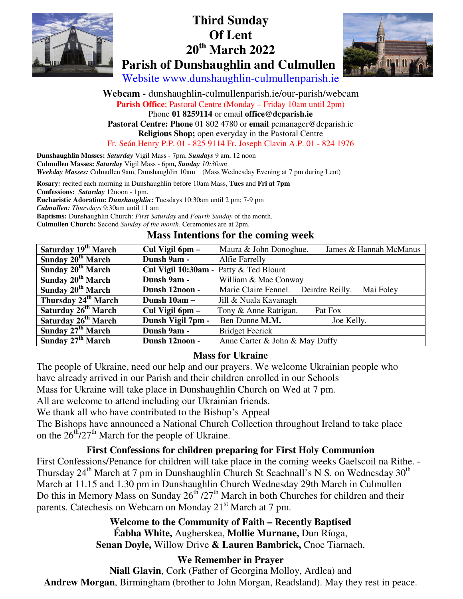

# **Third Sunday Of Lent 20th March 2022 Parish of Dunshaughlin and Culmullen**



Website www.dunshaughlin-culmullenparish.ie

**Webcam -** dunshaughlin-culmullenparish.ie/our-parish/webcam **Parish Office**; Pastoral Centre (Monday – Friday 10am until 2pm) Phone **01 8259114** or email **office@dcparish.ie Pastoral Centre: Phone** 01 802 4780 or **email** pcmanager@dcparish.ie **Religious Shop;** open everyday in the Pastoral Centre Fr. Seán Henry P.P. 01 - 825 9114 Fr. Joseph Clavin A.P. 01 - 824 1976

| <b>Dunshaughlin Masses: Saturday</b> Vigil Mass - 7pm, <b>Sundays</b> 9 am, 12 noon                     |  |  |  |
|---------------------------------------------------------------------------------------------------------|--|--|--|
| Culmullen Masses: Saturday Vigil Mass - 6pm, Sunday 10:30am                                             |  |  |  |
| Weekday Masses: Culmullen 9am, Dunshaughlin 10am (Mass Wednesday Evening at 7 pm during Lent)           |  |  |  |
| <b>Rosary:</b> recited each morning in Dunshaughlin before 10am Mass, <b>Tues</b> and <b>Fri at 7pm</b> |  |  |  |
| <b>Confessions: Saturday 12noon - 1pm.</b>                                                              |  |  |  |
| <b>Eucharistic Adoration: <i>Dunshaughlin</i>:</b> Tuesdays 10:30am until 2 pm; 7-9 pm                  |  |  |  |
| <b>Culmullen:</b> Thursdays 9:30am until 11 am                                                          |  |  |  |
| <b>Baptisms:</b> Dunshaughlin Church: <i>First Saturday</i> and <i>Fourth Sunday</i> of the month.      |  |  |  |
| <b>Culmullen Church:</b> Second Sunday of the month. Ceremonies are at 2pm.                             |  |  |  |
|                                                                                                         |  |  |  |

#### **Mass Intentions for the coming week**

| Saturday 19th March             | Cul Vigil 6pm -                        | James & Hannah McManus<br>Maura & John Donoghue.  |
|---------------------------------|----------------------------------------|---------------------------------------------------|
| Sunday 20 <sup>th</sup> March   | Dunsh 9am -                            | <b>Alfie Farrelly</b>                             |
| Sunday 20 <sup>th</sup> March   | Cul Vigil 10:30am - Patty & Ted Blount |                                                   |
| Sunday 20 <sup>th</sup> March   | Dunsh 9am -                            | William & Mae Conway                              |
| Sunday 20 <sup>th</sup> March   | Dunsh 12noon -                         | Marie Claire Fennel. Deirdre Reilly.<br>Mai Foley |
| Thursday 24 <sup>th</sup> March | Dunsh 10am -                           | Jill & Nuala Kavanagh                             |
| Saturday 26 <sup>th</sup> March | Cul Vigil 6pm -                        | Tony & Anne Rattigan.<br>Pat Fox                  |
| Saturday 26 <sup>th</sup> March | Dunsh Vigil 7pm -                      | Ben Dunne M.M.<br>Joe Kelly.                      |
| Sunday 27 <sup>th</sup> March   | Dunsh 9am -                            | <b>Bridget Feerick</b>                            |
| Sunday 27 <sup>th</sup> March   | Dunsh 12noon -                         | Anne Carter & John & May Duffy                    |

### **Mass for Ukraine**

The people of Ukraine, need our help and our prayers. We welcome Ukrainian people who have already arrived in our Parish and their children enrolled in our Schools

Mass for Ukraine will take place in Dunshaughlin Church on Wed at 7 pm.

All are welcome to attend including our Ukrainian friends.

We thank all who have contributed to the Bishop's Appeal

The Bishops have announced a National Church Collection throughout Ireland to take place on the  $26<sup>th</sup>/27<sup>th</sup>$  March for the people of Ukraine.

## **First Confessions for children preparing for First Holy Communion**

First Confessions/Penance for children will take place in the coming weeks Gaelscoil na Rithe. - Thursday  $24^{th}$  March at 7 pm in Dunshaughlin Church St Seachnall's N S. on Wednesday  $30^{th}$ March at 11.15 and 1.30 pm in Dunshaughlin Church Wednesday 29th March in Culmullen Do this in Memory Mass on Sunday  $26<sup>th</sup> / 27<sup>th</sup>$  March in both Churches for children and their parents. Catechesis on Webcam on Monday 21<sup>st</sup> March at 7 pm.

## **Welcome to the Community of Faith – Recently Baptised Éabha White,** Augherskea, **Mollie Murnane,** Dun Ríoga, **Senan Doyle,** Willow Drive **& Lauren Bambrick,** Cnoc Tiarnach.

## **We Remember in Prayer**

**Niall Glavin**, Cork (Father of Georgina Molloy, Ardlea) and **Andrew Morgan**, Birmingham (brother to John Morgan, Readsland). May they rest in peace.